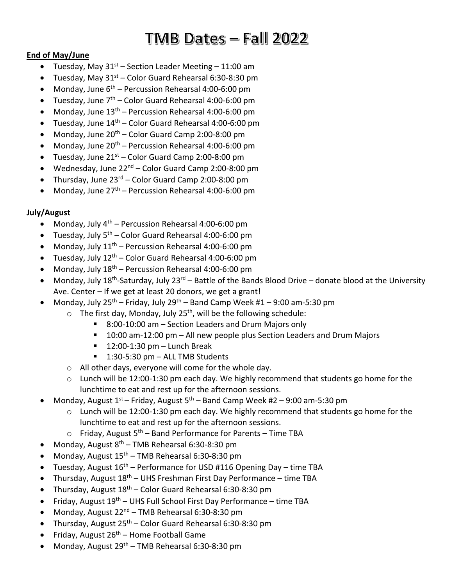# $TMB$  Dates - Fall  $2022$

# **End of May/June**

- Tuesday, May  $31^{st}$  Section Leader Meeting 11:00 am
- Tuesday, May  $31^{st}$  Color Guard Rehearsal 6:30-8:30 pm
- Monday, June  $6^{th}$  Percussion Rehearsal 4:00-6:00 pm
- Tuesday, June  $7<sup>th</sup>$  Color Guard Rehearsal 4:00-6:00 pm
- Monday, June  $13<sup>th</sup>$  Percussion Rehearsal 4:00-6:00 pm
- Tuesday, June  $14<sup>th</sup>$  Color Guard Rehearsal 4:00-6:00 pm
- Monday, June  $20^{th}$  Color Guard Camp 2:00-8:00 pm
- Monday, June  $20^{th}$  Percussion Rehearsal 4:00-6:00 pm
- Tuesday, June  $21^{st}$  Color Guard Camp 2:00-8:00 pm
- Wednesday, June 22nd Color Guard Camp 2:00-8:00 pm
- Thursday, June  $23^{rd}$  Color Guard Camp 2:00-8:00 pm
- Monday, June  $27<sup>th</sup>$  Percussion Rehearsal 4:00-6:00 pm

# **July/August**

- Monday, July  $4^{th}$  Percussion Rehearsal 4:00-6:00 pm
- Tuesday, July  $5^{th}$  Color Guard Rehearsal 4:00-6:00 pm
- Monday, July  $11^{th}$  Percussion Rehearsal 4:00-6:00 pm
- Tuesday, July  $12<sup>th</sup>$  Color Guard Rehearsal 4:00-6:00 pm
- Monday, July  $18^{th}$  Percussion Rehearsal 4:00-6:00 pm
- Monday, July 18<sup>th</sup>-Saturday, July 23<sup>rd</sup> Battle of the Bands Blood Drive donate blood at the University Ave. Center – If we get at least 20 donors, we get a grant!
- Monday, July  $25^{th}$  Friday, July  $29^{th}$  Band Camp Week #1 9:00 am-5:30 pm
	- $\circ$  The first day, Monday, July 25<sup>th</sup>, will be the following schedule:
		- 8:00-10:00 am Section Leaders and Drum Majors only
		- 10:00 am-12:00 pm All new people plus Section Leaders and Drum Majors
		- $\blacksquare$  12:00-1:30 pm Lunch Break
		- 1:30-5:30 pm ALL TMB Students
	- o All other days, everyone will come for the whole day.
	- o Lunch will be 12:00-1:30 pm each day. We highly recommend that students go home for the lunchtime to eat and rest up for the afternoon sessions.
- Monday, August  $1^{st}$  Friday, August  $5^{th}$  Band Camp Week #2 9:00 am-5:30 pm
	- o Lunch will be 12:00-1:30 pm each day. We highly recommend that students go home for the lunchtime to eat and rest up for the afternoon sessions.
	- $\circ$  Friday, August 5<sup>th</sup> Band Performance for Parents Time TBA
- Monday, August  $8<sup>th</sup>$  TMB Rehearsal 6:30-8:30 pm
- Monday, August  $15<sup>th</sup>$  TMB Rehearsal 6:30-8:30 pm
- Tuesday, August  $16<sup>th</sup>$  Performance for USD #116 Opening Day time TBA
- Thursday, August 18th UHS Freshman First Day Performance time TBA
- Thursday, August  $18^{th}$  Color Guard Rehearsal 6:30-8:30 pm
- Friday, August 19th UHS Full School First Day Performance time TBA
- Monday, August  $22^{nd}$  TMB Rehearsal 6:30-8:30 pm
- Thursday, August  $25<sup>th</sup>$  Color Guard Rehearsal 6:30-8:30 pm
- Friday, August  $26^{th}$  Home Football Game
- Monday, August 29th TMB Rehearsal 6:30-8:30 pm